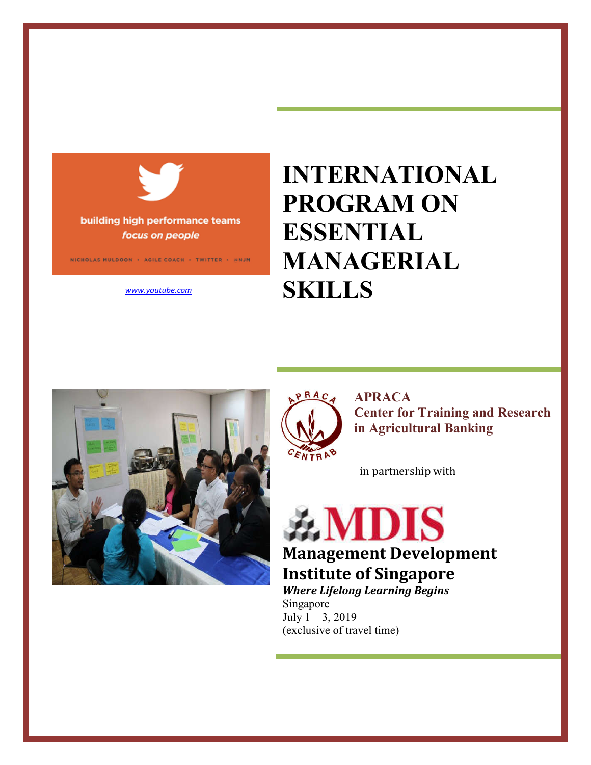

building high performance teams focus on people

NICHOLAS MULDOON + AGILE COACH + TWITTER + BNJM

*www.youtube.com* 

# **INTERNATIONAL PROGRAM ON ESSENTIAL MANAGERIAL SKILLS**





in partnership with

**AMDIS Management Development Institute of Singapore** 

*Where Lifelong Learning Begins* Singapore July 1 – 3, 2019 (exclusive of travel time)

ENTRAB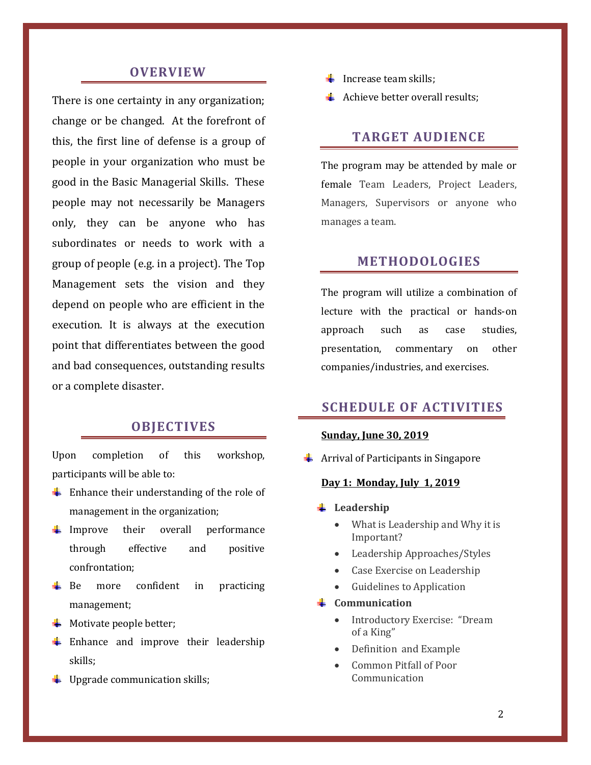# **OVERVIEW**

There is one certainty in any organization; change or be changed. At the forefront of this, the first line of defense is a group of people in your organization who must be good in the Basic Managerial Skills. These people may not necessarily be Managers only, they can be anyone who has subordinates or needs to work with a group of people (e.g. in a project). The Top Management sets the vision and they depend on people who are efficient in the execution. It is always at the execution point that differentiates between the good and bad consequences, outstanding results or a complete disaster.

# **OBJECTIVES**

Upon completion of this workshop, participants will be able to:

- $\frac{1}{\sqrt{2}}$  Enhance their understanding of the role of management in the organization;
- $\downarrow$  Improve their overall performance through effective and positive confrontation;
- $\overline{\phantom{a}}$  Be more confident in practicing management;
- $\bigstar$  Motivate people better;
- $\frac{1}{2}$  Enhance and improve their leadership skills;
- $\downarrow$  Upgrade communication skills;
- $\ddot{\bullet}$  Increase team skills;
- Achieve better overall results:

# **TARGET AUDIENCE**

The program may be attended by male or female Team Leaders, Project Leaders, Managers, Supervisors or anyone who manages a team.

# **METHODOLOGIES**

The program will utilize a combination of lecture with the practical or hands-on approach such as case studies, presentation, commentary on other companies/industries, and exercises.

# **SCHEDULE OF ACTIVITIES**

## **Sunday, June 30, 2019**

 $\frac{1}{\sqrt{2}}$  Arrival of Participants in Singapore

## **Day 1: Monday, July 1, 2019**

- **Leadership** 
	- What is Leadership and Why it is Important?
	- Leadership Approaches/Styles
	- Case Exercise on Leadership
	- Guidelines to Application
- **Communication**
	- Introductory Exercise: "Dream of a King"
	- Definition and Example
	- Common Pitfall of Poor Communication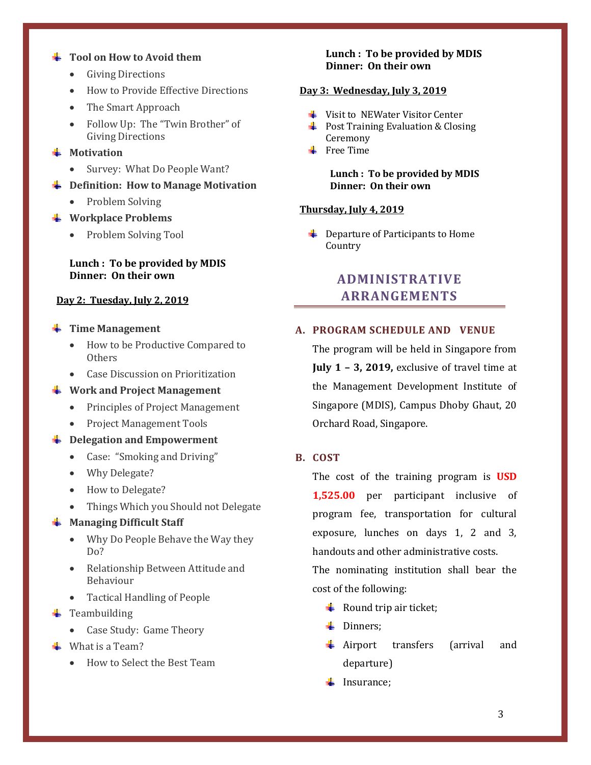#### **Tool on How to Avoid them**

- Giving Directions
- How to Provide Effective Directions
- The Smart Approach
- Follow Up: The "Twin Brother" of Giving Directions
- **Worth** Motivation
	- Survey: What Do People Want?
- **Definition: How to Manage Motivation**
	- Problem Solving
- **Workplace Problems**
	- Problem Solving Tool

#### **Lunch : To be provided by MDIS Dinner: On their own**

#### **Day 2: Tuesday, July 2, 2019**

- **Time Management** 
	- How to be Productive Compared to **Others**
	- Case Discussion on Prioritization
- **Work and Project Management**
	- Principles of Project Management
	- Project Management Tools
- $\frac{1}{2}$  Delegation and Empowerment
	- Case: "Smoking and Driving"
	- Why Delegate?
	- How to Delegate?
	- Things Which you Should not Delegate

#### **Managing Difficult Staff**

- Why Do People Behave the Way they Do?
- Relationship Between Attitude and Behaviour
- Tactical Handling of People
- $\leftarrow$  Teambuilding
	- Case Study: Game Theory
- $\blacksquare$  What is a Team?
	- How to Select the Best Team

#### **Lunch : To be provided by MDIS Dinner: On their own**

#### **Day 3: Wednesday, July 3, 2019**

- $\frac{1}{2}$  Visit to NEWater Visitor Center
- $\downarrow$  Post Training Evaluation & Closing Ceremony
- $\div$  Free Time

**Lunch : To be provided by MDIS Dinner: On their own**

#### **Thursday, July 4, 2019**

 $\leftarrow$  Departure of Participants to Home Country

# **ADMINISTRATIVE ARRANGEMENTS**

#### **A. PROGRAM SCHEDULE AND VENUE**

The program will be held in Singapore from **July 1 – 3, 2019,** exclusive of travel time at the Management Development Institute of Singapore (MDIS), Campus Dhoby Ghaut, 20 Orchard Road, Singapore.

#### **B. COST**

The cost of the training program is **USD 1,525.00** per participant inclusive of program fee, transportation for cultural exposure, lunches on days 1, 2 and 3, handouts and other administrative costs.

The nominating institution shall bear the cost of the following:

- $\downarrow$  Round trip air ticket;
- $\blacksquare$  Dinners;
- Airport transfers (arrival and departure)
- $\downarrow$  Insurance;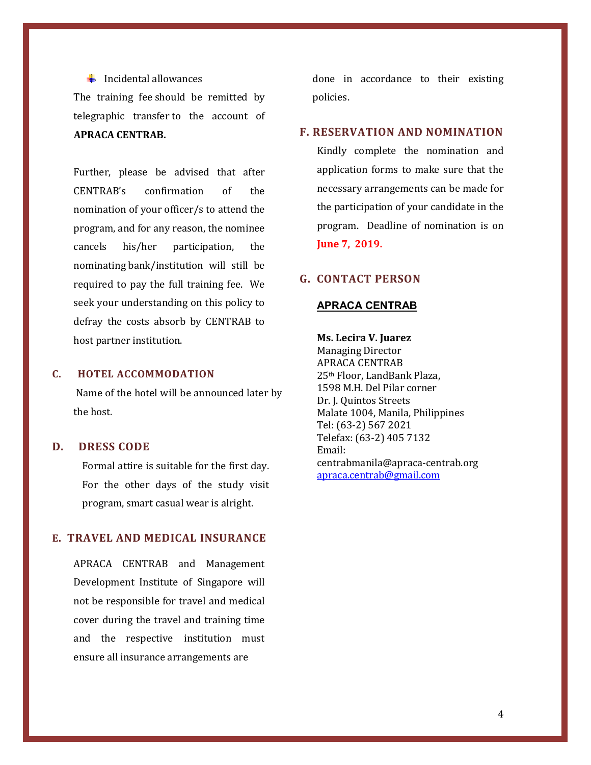#### $\ddot{\phantom{a}}$  Incidental allowances

The training fee should be remitted by telegraphic transfer to the account of **APRACA CENTRAB.** 

Further, please be advised that after CENTRAB's confirmation of the nomination of your officer/s to attend the program, and for any reason, the nominee cancels his/her participation, the nominating bank/institution will still be required to pay the full training fee. We seek your understanding on this policy to defray the costs absorb by CENTRAB to host partner institution.

#### **C. HOTEL ACCOMMODATION**

Name of the hotel will be announced later by the host.

## **D. DRESS CODE**

Formal attire is suitable for the first day. For the other days of the study visit program, smart casual wear is alright.

## **E. TRAVEL AND MEDICAL INSURANCE**

APRACA CENTRAB and Management Development Institute of Singapore will not be responsible for travel and medical cover during the travel and training time and the respective institution must ensure all insurance arrangements are

done in accordance to their existing policies.

# **F. RESERVATION AND NOMINATION**

Kindly complete the nomination and application forms to make sure that the necessary arrangements can be made for the participation of your candidate in the program. Deadline of nomination is on **June 7, 2019.**

# **G. CONTACT PERSON**

#### **APRACA CENTRAB**

**Ms. Lecira V. Juarez**  Managing Director APRACA CENTRAB 25th Floor, LandBank Plaza, 1598 M.H. Del Pilar corner Dr. J. Quintos Streets Malate 1004, Manila, Philippines Tel: (63-2) 567 2021 Telefax: (63-2) 405 7132 Email: centrabmanila@apraca-centrab.org apraca.centrab@gmail.com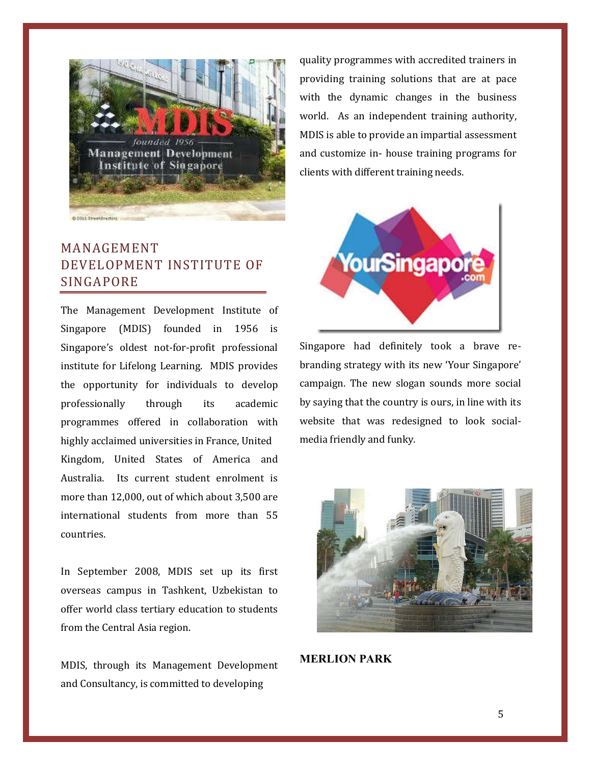

# MANAGEMENT DEVELOPMENT INSTITUTE OF SINGAPORE

The Management Development Institute of Singapore (MDIS) founded in 1956 is Singapore's oldest not-for-profit professional institute for Lifelong Learning. MDIS provides the opportunity for individuals to develop professionally through its academic programmes offered in collaboration with highly acclaimed universities in France, United Kingdom, United States of America and Australia. Its current student enrolment is more than 12,000, out of which about 3,500 are international students from more than 55 countries.

In September 2008, MDIS set up its first overseas campus in Tashkent, Uzbekistan to offer world class tertiary education to students from the Central Asia region.

MDIS, through its Management Development and Consultancy, is committed to developing

quality programmes with accredited trainers in providing training solutions that are at pace with the dynamic changes in the business world. As an independent training authority, MDIS is able to provide an impartial assessment and customize in- house training programs for clients with different training needs.



Singapore had definitely took a brave rebranding strategy with its new 'Your Singapore' campaign. The new slogan sounds more social by saying that the country is ours, in line with its website that was redesigned to look socialmedia friendly and funky.



**MERLION PARK**